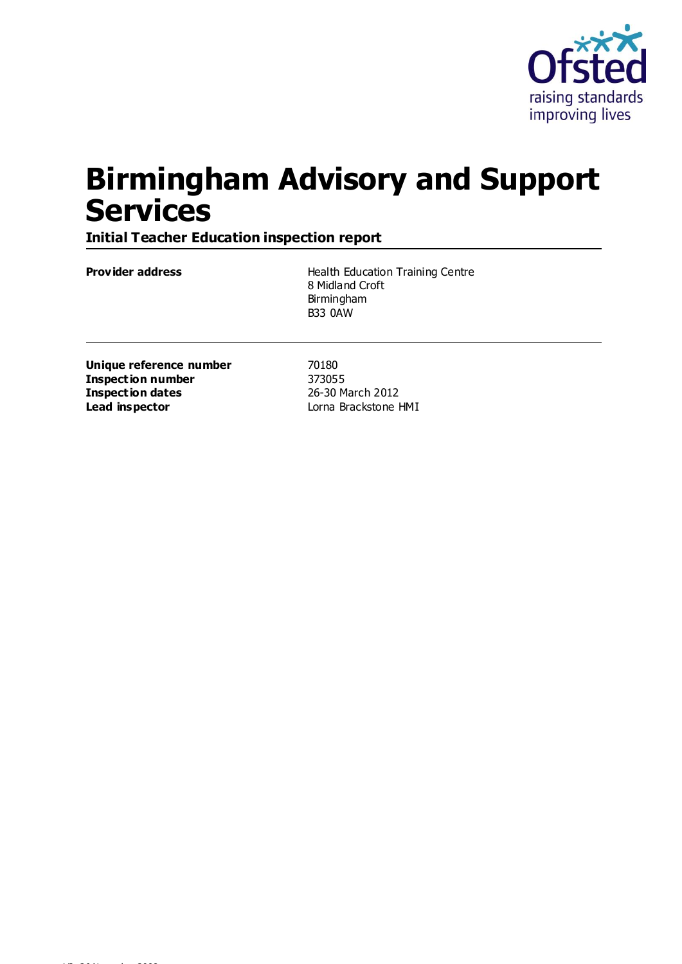

# **Birmingham Advisory and Support Services**

**Initial Teacher Education inspection report**

**Provider address Health Education Training Centre** 8 Midland Croft Birmingham B33 0AW

**Unique reference number Inspection number Inspection dates Lead inspector**

70180 373055 26-30 March 2012 Lorna Brackstone HMI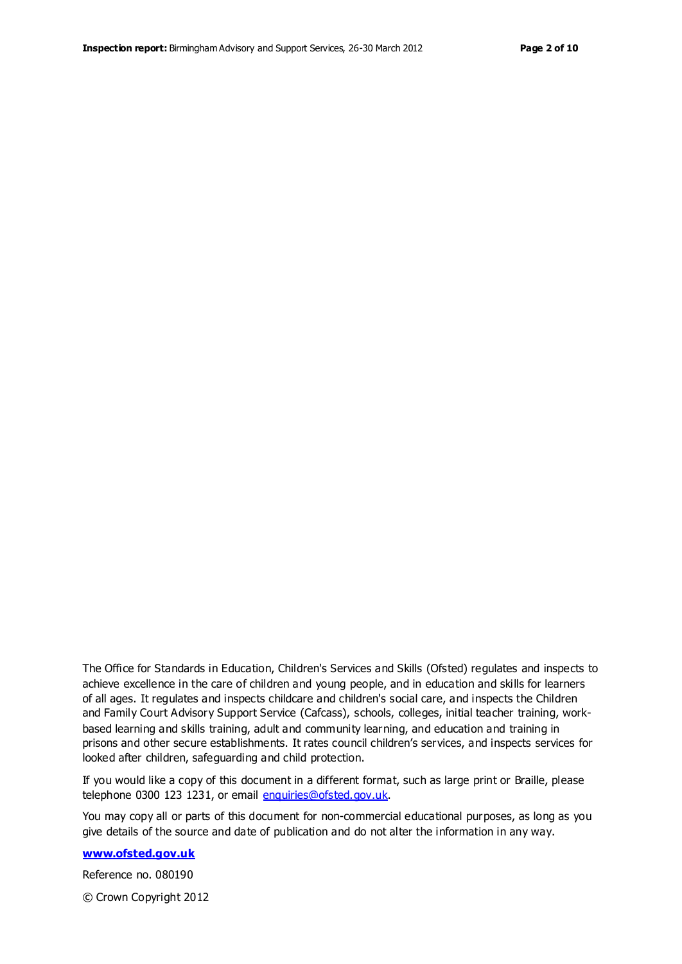The Office for Standards in Education, Children's Services and Skills (Ofsted) regulates and inspects to achieve excellence in the care of children and young people, and in education and skills for learners of all ages. It regulates and inspects childcare and children's social care, and inspects the Children and Family Court Advisory Support Service (Cafcass), schools, colleges, initial teacher training, workbased learning and skills training, adult and community learning, and education and training in prisons and other secure establishments. It rates council children's services, and inspects services for looked after children, safeguarding and child protection.

If you would like a copy of this document in a different format, such as large print or Braille, please telephone 0300 123 1231, or email enquiries@ofsted.gov.uk.

You may copy all or parts of this document for non-commercial educational purposes, as long as you give details of the source and date of publication and do not alter the information in any way.

#### **www.ofsted.gov.uk**

Reference no. 080190

© Crown Copyright 2012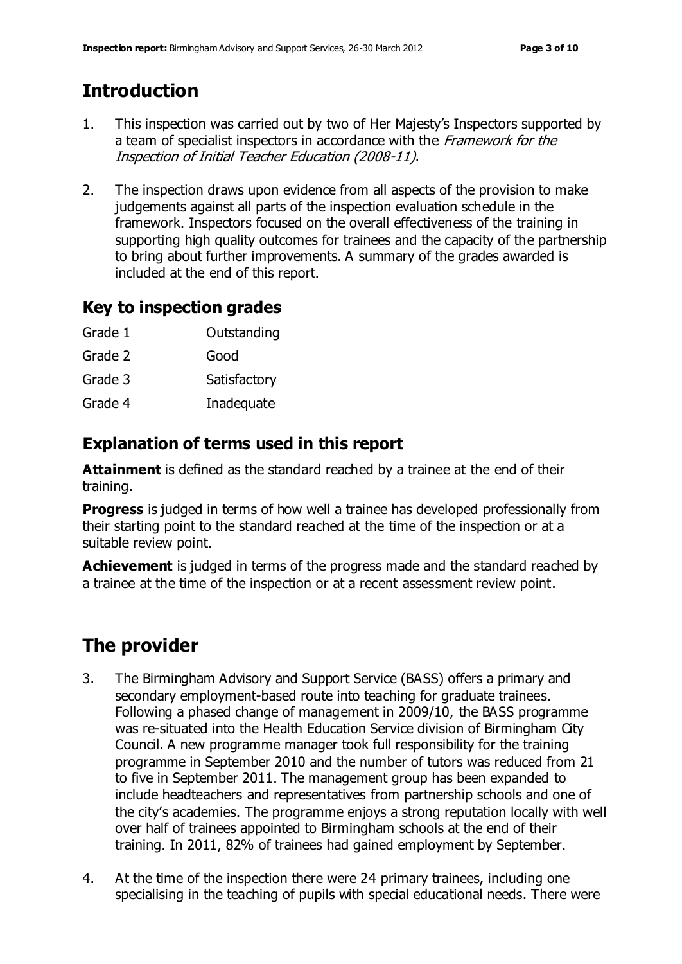# **Introduction**

- 1. This inspection was carried out by two of Her Majesty's Inspectors supported by a team of specialist inspectors in accordance with the Framework for the Inspection of Initial Teacher Education (2008-11).
- 2. The inspection draws upon evidence from all aspects of the provision to make judgements against all parts of the inspection evaluation schedule in the framework. Inspectors focused on the overall effectiveness of the training in supporting high quality outcomes for trainees and the capacity of the partnership to bring about further improvements. A summary of the grades awarded is included at the end of this report.

#### **Key to inspection grades**

| Outstanding |
|-------------|
|             |

- Grade 2 Good
- Grade 3 **Satisfactory**
- Grade 4 Inadequate

#### **Explanation of terms used in this report**

**Attainment** is defined as the standard reached by a trainee at the end of their training.

**Progress** is judged in terms of how well a trainee has developed professionally from their starting point to the standard reached at the time of the inspection or at a suitable review point.

**Achievement** is judged in terms of the progress made and the standard reached by a trainee at the time of the inspection or at a recent assessment review point.

# **The provider**

- 3. The Birmingham Advisory and Support Service (BASS) offers a primary and secondary employment-based route into teaching for graduate trainees. Following a phased change of management in 2009/10, the BASS programme was re-situated into the Health Education Service division of Birmingham City Council. A new programme manager took full responsibility for the training programme in September 2010 and the number of tutors was reduced from 21 to five in September 2011. The management group has been expanded to include headteachers and representatives from partnership schools and one of the city's academies. The programme enjoys a strong reputation locally with well over half of trainees appointed to Birmingham schools at the end of their training. In 2011, 82% of trainees had gained employment by September.
- 4. At the time of the inspection there were 24 primary trainees, including one specialising in the teaching of pupils with special educational needs. There were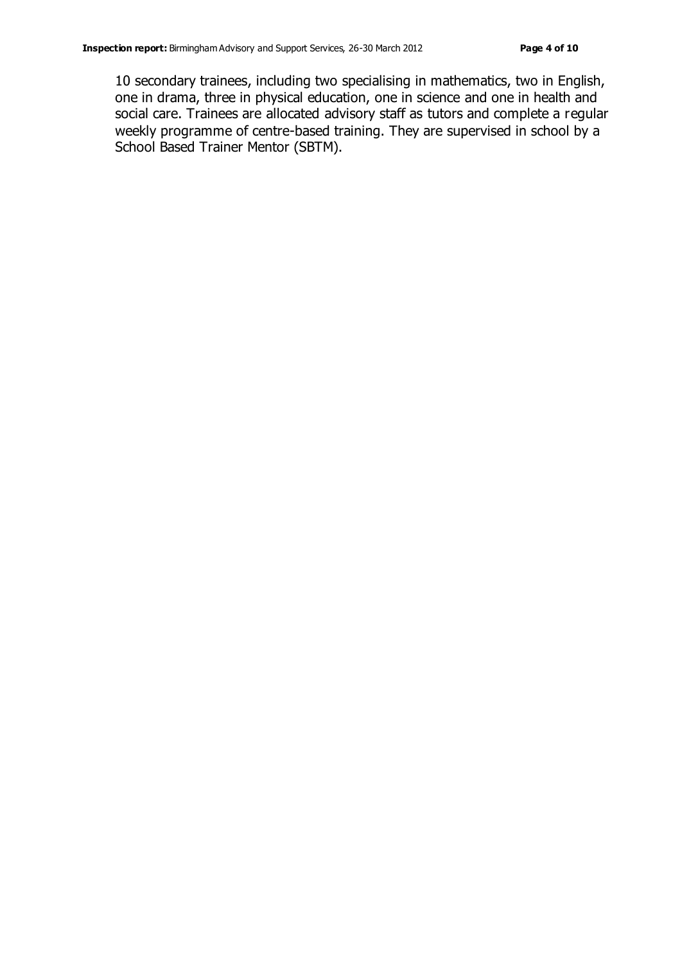10 secondary trainees, including two specialising in mathematics, two in English, one in drama, three in physical education, one in science and one in health and social care. Trainees are allocated advisory staff as tutors and complete a regular weekly programme of centre-based training. They are supervised in school by a School Based Trainer Mentor (SBTM).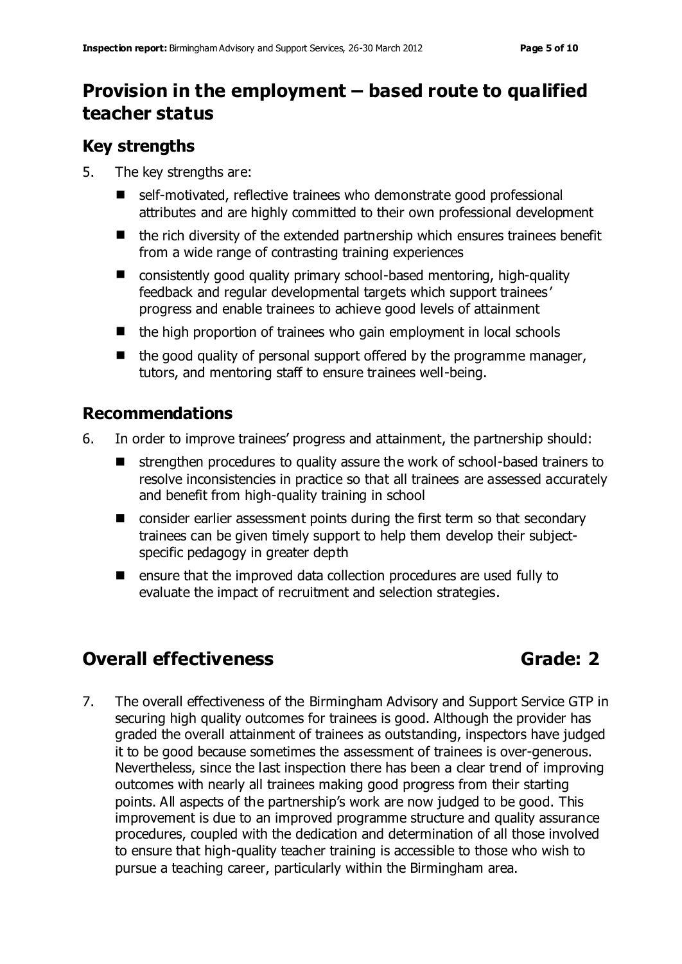# **Provision in the employment – based route to qualified teacher status**

#### **Key strengths**

- 5. The key strengths are:
	- self-motivated, reflective trainees who demonstrate good professional attributes and are highly committed to their own professional development
	- $\blacksquare$  the rich diversity of the extended partnership which ensures trainees benefit from a wide range of contrasting training experiences
	- consistently good quality primary school-based mentoring, high-quality feedback and regular developmental targets which support trainees ' progress and enable trainees to achieve good levels of attainment
	- $\blacksquare$  the high proportion of trainees who gain employment in local schools
	- $\blacksquare$  the good quality of personal support offered by the programme manager, tutors, and mentoring staff to ensure trainees well-being.

#### **Recommendations**

- 6. In order to improve trainees' progress and attainment, the partnership should:
	- **E** strengthen procedures to quality assure the work of school-based trainers to resolve inconsistencies in practice so that all trainees are assessed accurately and benefit from high-quality training in school
	- consider earlier assessment points during the first term so that secondary trainees can be given timely support to help them develop their subjectspecific pedagogy in greater depth
	- ensure that the improved data collection procedures are used fully to evaluate the impact of recruitment and selection strategies.

# **Overall effectiveness Grade: 2**

7. The overall effectiveness of the Birmingham Advisory and Support Service GTP in securing high quality outcomes for trainees is good. Although the provider has graded the overall attainment of trainees as outstanding, inspectors have judged it to be good because sometimes the assessment of trainees is over-generous. Nevertheless, since the last inspection there has been a clear trend of improving outcomes with nearly all trainees making good progress from their starting points. All aspects of the partnership's work are now judged to be good. This improvement is due to an improved programme structure and quality assurance procedures, coupled with the dedication and determination of all those involved to ensure that high-quality teacher training is accessible to those who wish to pursue a teaching career, particularly within the Birmingham area.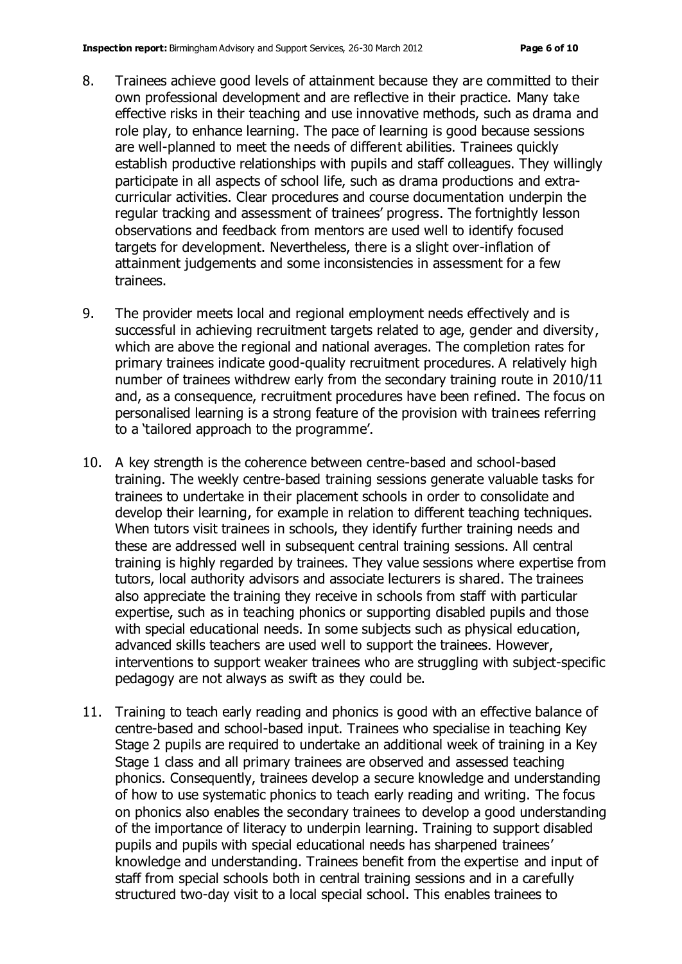- 8. Trainees achieve good levels of attainment because they are committed to their own professional development and are reflective in their practice. Many take effective risks in their teaching and use innovative methods, such as drama and role play, to enhance learning. The pace of learning is good because sessions are well-planned to meet the needs of different abilities. Trainees quickly establish productive relationships with pupils and staff colleagues. They willingly participate in all aspects of school life, such as drama productions and extracurricular activities. Clear procedures and course documentation underpin the regular tracking and assessment of trainees' progress. The fortnightly lesson observations and feedback from mentors are used well to identify focused targets for development. Nevertheless, there is a slight over-inflation of attainment judgements and some inconsistencies in assessment for a few trainees.
- 9. The provider meets local and regional employment needs effectively and is successful in achieving recruitment targets related to age, gender and diversity, which are above the regional and national averages. The completion rates for primary trainees indicate good-quality recruitment procedures. A relatively high number of trainees withdrew early from the secondary training route in 2010/11 and, as a consequence, recruitment procedures have been refined. The focus on personalised learning is a strong feature of the provision with trainees referring to a 'tailored approach to the programme'.
- 10. A key strength is the coherence between centre-based and school-based training. The weekly centre-based training sessions generate valuable tasks for trainees to undertake in their placement schools in order to consolidate and develop their learning, for example in relation to different teaching techniques. When tutors visit trainees in schools, they identify further training needs and these are addressed well in subsequent central training sessions. All central training is highly regarded by trainees. They value sessions where expertise from tutors, local authority advisors and associate lecturers is shared. The trainees also appreciate the training they receive in schools from staff with particular expertise, such as in teaching phonics or supporting disabled pupils and those with special educational needs. In some subjects such as physical education, advanced skills teachers are used well to support the trainees. However, interventions to support weaker trainees who are struggling with subject-specific pedagogy are not always as swift as they could be.
- 11. Training to teach early reading and phonics is good with an effective balance of centre-based and school-based input. Trainees who specialise in teaching Key Stage 2 pupils are required to undertake an additional week of training in a Key Stage 1 class and all primary trainees are observed and assessed teaching phonics. Consequently, trainees develop a secure knowledge and understanding of how to use systematic phonics to teach early reading and writing. The focus on phonics also enables the secondary trainees to develop a good understanding of the importance of literacy to underpin learning. Training to support disabled pupils and pupils with special educational needs has sharpened trainees' knowledge and understanding. Trainees benefit from the expertise and input of staff from special schools both in central training sessions and in a carefully structured two-day visit to a local special school. This enables trainees to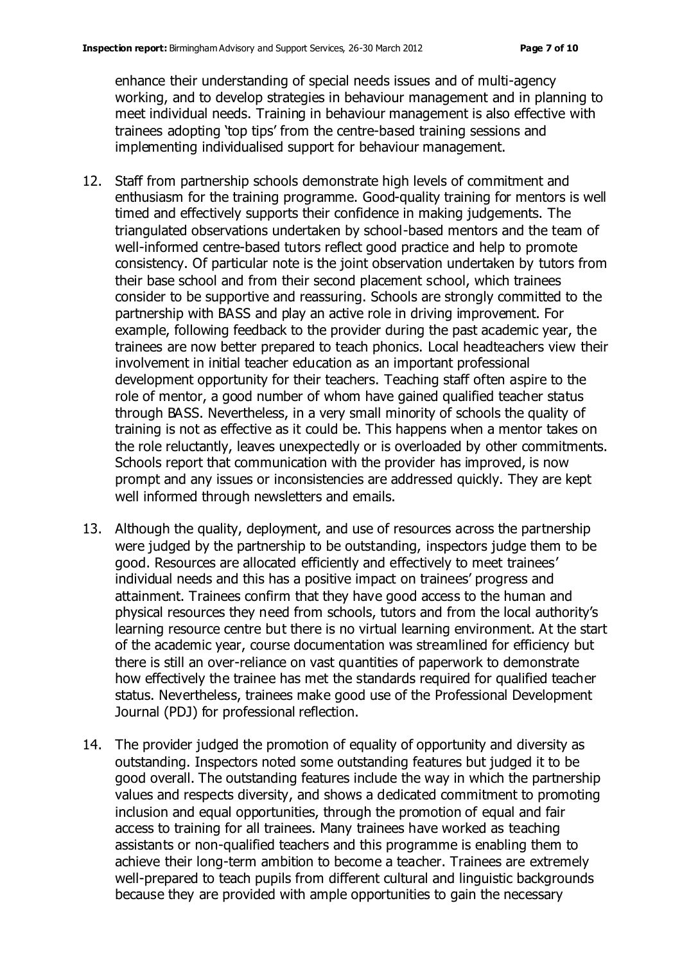enhance their understanding of special needs issues and of multi-agency working, and to develop strategies in behaviour management and in planning to meet individual needs. Training in behaviour management is also effective with trainees adopting 'top tips' from the centre-based training sessions and implementing individualised support for behaviour management.

- 12. Staff from partnership schools demonstrate high levels of commitment and enthusiasm for the training programme. Good-quality training for mentors is well timed and effectively supports their confidence in making judgements. The triangulated observations undertaken by school-based mentors and the team of well-informed centre-based tutors reflect good practice and help to promote consistency. Of particular note is the joint observation undertaken by tutors from their base school and from their second placement school, which trainees consider to be supportive and reassuring. Schools are strongly committed to the partnership with BASS and play an active role in driving improvement. For example, following feedback to the provider during the past academic year, the trainees are now better prepared to teach phonics. Local headteachers view their involvement in initial teacher education as an important professional development opportunity for their teachers. Teaching staff often aspire to the role of mentor, a good number of whom have gained qualified teacher status through BASS. Nevertheless, in a very small minority of schools the quality of training is not as effective as it could be. This happens when a mentor takes on the role reluctantly, leaves unexpectedly or is overloaded by other commitments. Schools report that communication with the provider has improved, is now prompt and any issues or inconsistencies are addressed quickly. They are kept well informed through newsletters and emails.
- 13. Although the quality, deployment, and use of resources across the partnership were judged by the partnership to be outstanding, inspectors judge them to be good. Resources are allocated efficiently and effectively to meet trainees' individual needs and this has a positive impact on trainees' progress and attainment. Trainees confirm that they have good access to the human and physical resources they need from schools, tutors and from the local authority's learning resource centre but there is no virtual learning environment. At the start of the academic year, course documentation was streamlined for efficiency but there is still an over-reliance on vast quantities of paperwork to demonstrate how effectively the trainee has met the standards required for qualified teacher status. Nevertheless, trainees make good use of the Professional Development Journal (PDJ) for professional reflection.
- 14. The provider judged the promotion of equality of opportunity and diversity as outstanding. Inspectors noted some outstanding features but judged it to be good overall. The outstanding features include the way in which the partnership values and respects diversity, and shows a dedicated commitment to promoting inclusion and equal opportunities, through the promotion of equal and fair access to training for all trainees. Many trainees have worked as teaching assistants or non-qualified teachers and this programme is enabling them to achieve their long-term ambition to become a teacher. Trainees are extremely well-prepared to teach pupils from different cultural and linguistic backgrounds because they are provided with ample opportunities to gain the necessary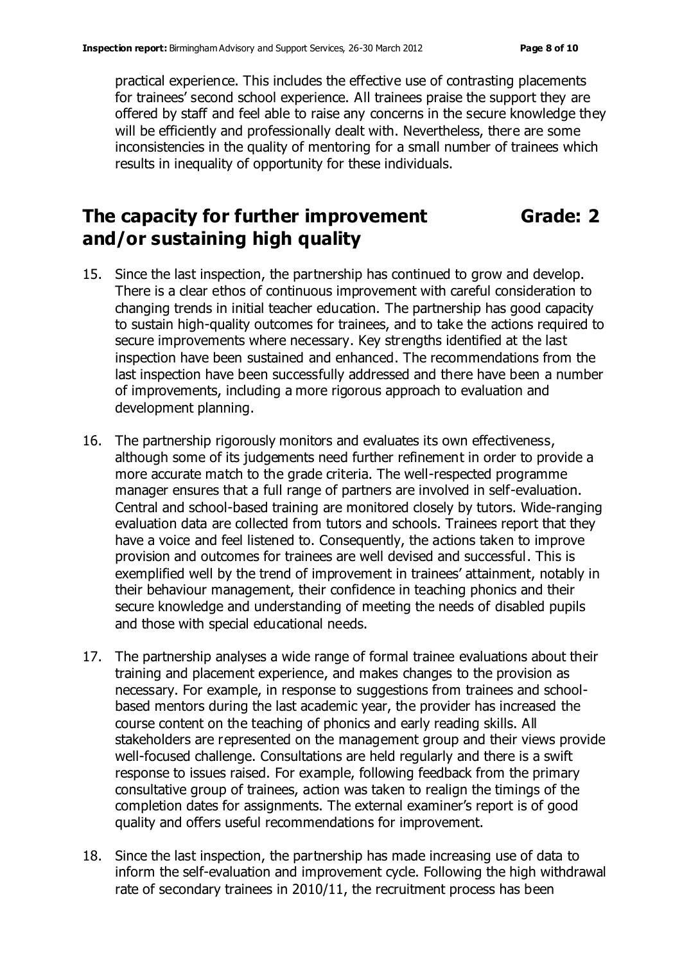**Grade: 2**

practical experience. This includes the effective use of contrasting placements for trainees' second school experience. All trainees praise the support they are offered by staff and feel able to raise any concerns in the secure knowledge they will be efficiently and professionally dealt with. Nevertheless, there are some inconsistencies in the quality of mentoring for a small number of trainees which results in inequality of opportunity for these individuals.

## **The capacity for further improvement and/or sustaining high quality**

- 15. Since the last inspection, the partnership has continued to grow and develop. There is a clear ethos of continuous improvement with careful consideration to changing trends in initial teacher education. The partnership has good capacity to sustain high-quality outcomes for trainees, and to take the actions required to secure improvements where necessary. Key strengths identified at the last inspection have been sustained and enhanced. The recommendations from the last inspection have been successfully addressed and there have been a number of improvements, including a more rigorous approach to evaluation and development planning.
- 16. The partnership rigorously monitors and evaluates its own effectiveness, although some of its judgements need further refinement in order to provide a more accurate match to the grade criteria. The well-respected programme manager ensures that a full range of partners are involved in self-evaluation. Central and school-based training are monitored closely by tutors. Wide-ranging evaluation data are collected from tutors and schools. Trainees report that they have a voice and feel listened to. Consequently, the actions taken to improve provision and outcomes for trainees are well devised and successful. This is exemplified well by the trend of improvement in trainees' attainment, notably in their behaviour management, their confidence in teaching phonics and their secure knowledge and understanding of meeting the needs of disabled pupils and those with special educational needs.
- 17. The partnership analyses a wide range of formal trainee evaluations about their training and placement experience, and makes changes to the provision as necessary. For example, in response to suggestions from trainees and schoolbased mentors during the last academic year, the provider has increased the course content on the teaching of phonics and early reading skills. All stakeholders are represented on the management group and their views provide well-focused challenge. Consultations are held regularly and there is a swift response to issues raised. For example, following feedback from the primary consultative group of trainees, action was taken to realign the timings of the completion dates for assignments. The external examiner's report is of good quality and offers useful recommendations for improvement.
- 18. Since the last inspection, the partnership has made increasing use of data to inform the self-evaluation and improvement cycle. Following the high withdrawal rate of secondary trainees in 2010/11, the recruitment process has been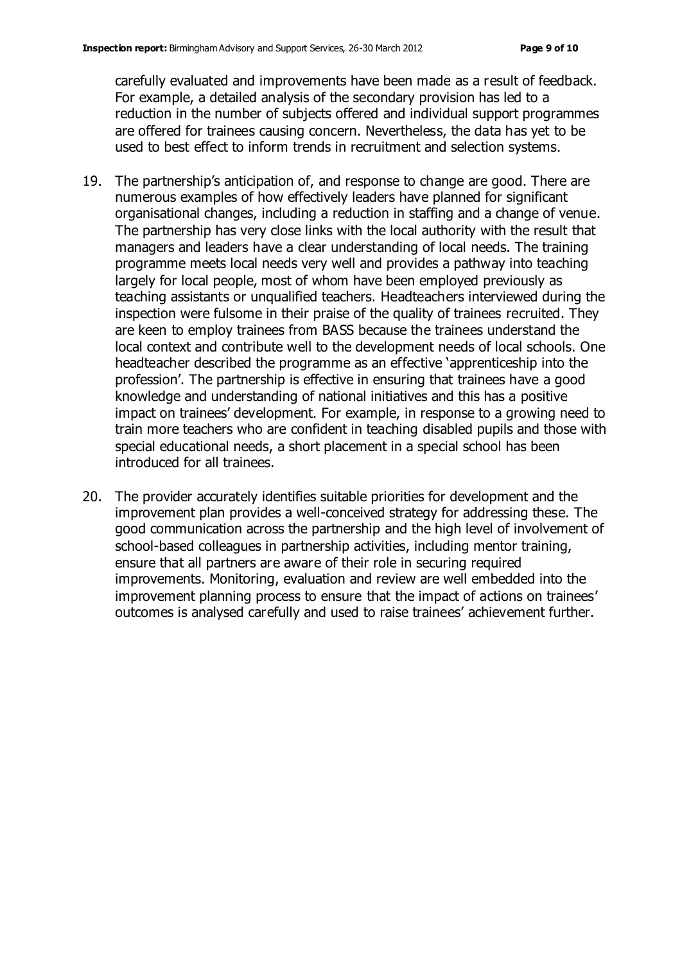carefully evaluated and improvements have been made as a result of feedback. For example, a detailed analysis of the secondary provision has led to a reduction in the number of subjects offered and individual support programmes are offered for trainees causing concern. Nevertheless, the data has yet to be used to best effect to inform trends in recruitment and selection systems.

- 19. The partnership's anticipation of, and response to change are good. There are numerous examples of how effectively leaders have planned for significant organisational changes, including a reduction in staffing and a change of venue. The partnership has very close links with the local authority with the result that managers and leaders have a clear understanding of local needs. The training programme meets local needs very well and provides a pathway into teaching largely for local people, most of whom have been employed previously as teaching assistants or unqualified teachers. Headteachers interviewed during the inspection were fulsome in their praise of the quality of trainees recruited. They are keen to employ trainees from BASS because the trainees understand the local context and contribute well to the development needs of local schools. One headteacher described the programme as an effective 'apprenticeship into the profession'. The partnership is effective in ensuring that trainees have a good knowledge and understanding of national initiatives and this has a positive impact on trainees' development. For example, in response to a growing need to train more teachers who are confident in teaching disabled pupils and those with special educational needs, a short placement in a special school has been introduced for all trainees.
- 20. The provider accurately identifies suitable priorities for development and the improvement plan provides a well-conceived strategy for addressing these. The good communication across the partnership and the high level of involvement of school-based colleagues in partnership activities, including mentor training, ensure that all partners are aware of their role in securing required improvements. Monitoring, evaluation and review are well embedded into the improvement planning process to ensure that the impact of actions on trainees' outcomes is analysed carefully and used to raise trainees' achievement further.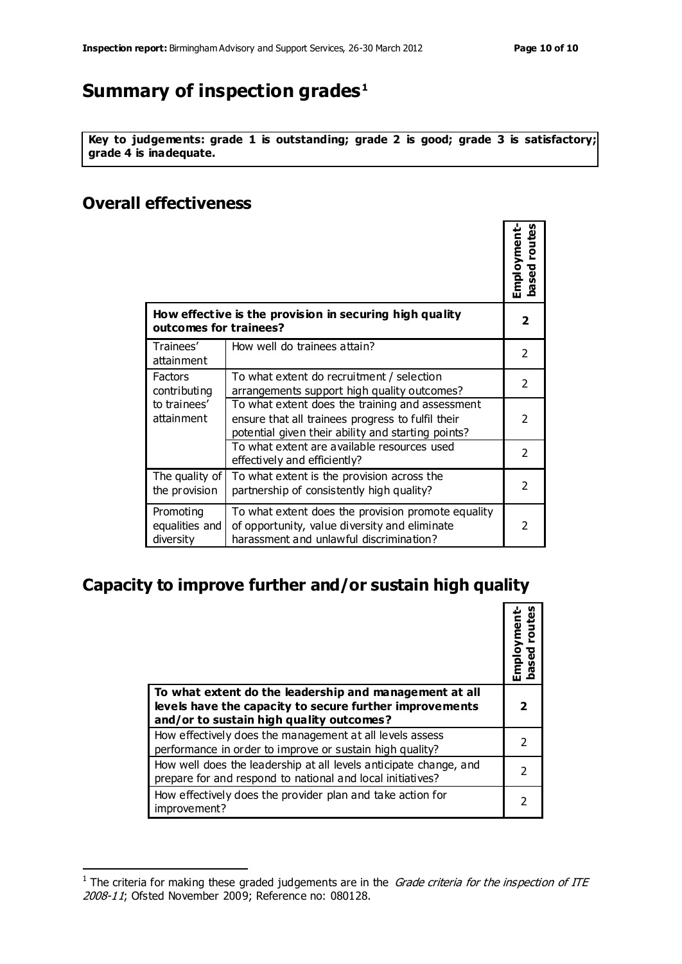г

# **Summary of inspection grades<sup>1</sup>**

**Key to judgements: grade 1 is outstanding; grade 2 is good; grade 3 is satisfactory; grade 4 is inadequate.**

#### **Overall effectiveness**

|                                                       |                                                                                                                                                            | Employment-<br>sed routes |
|-------------------------------------------------------|------------------------------------------------------------------------------------------------------------------------------------------------------------|---------------------------|
| outcomes for trainees?                                | How effective is the provision in securing high quality                                                                                                    | 2                         |
| Trainees'<br>attainment                               | How well do trainees attain?                                                                                                                               | $\mathcal{P}$             |
| Factors<br>contributing<br>to trainees'<br>attainment | To what extent do recruitment / selection<br>arrangements support high quality outcomes?                                                                   | $\mathcal{P}$             |
|                                                       | To what extent does the training and assessment<br>ensure that all trainees progress to fulfil their<br>potential given their ability and starting points? | $\mathcal{P}$             |
|                                                       | To what extent are available resources used<br>effectively and efficiently?                                                                                | $\mathcal{P}$             |
| The quality of<br>the provision                       | To what extent is the provision across the<br>partnership of consistently high quality?                                                                    | $\mathcal{P}$             |
| Promoting<br>equalities and<br>diversity              | To what extent does the provision promote equality<br>of opportunity, value diversity and eliminate<br>harassment and unlawful discrimination?             | 2                         |

### **Capacity to improve further and/or sustain high quality**

|                                                                                                                                                               | mploymen |
|---------------------------------------------------------------------------------------------------------------------------------------------------------------|----------|
| To what extent do the leadership and management at all<br>levels have the capacity to secure further improvements<br>and/or to sustain high quality outcomes? |          |
| How effectively does the management at all levels assess<br>performance in order to improve or sustain high quality?                                          |          |
| How well does the leadership at all levels anticipate change, and<br>prepare for and respond to national and local initiatives?                               |          |
| How effectively does the provider plan and take action for<br>improvement?                                                                                    |          |

The criteria for making these graded judgements are in the *Grade criteria for the inspection of ITE* 2008-11; Ofsted November 2009; Reference no: 080128.